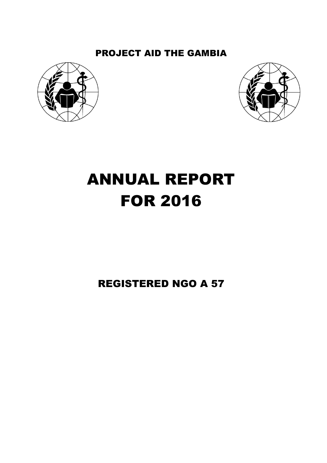## PROJECT AID THE GAMBIA





# ANNUAL REPORT FOR 2016

## REGISTERED NGO A 57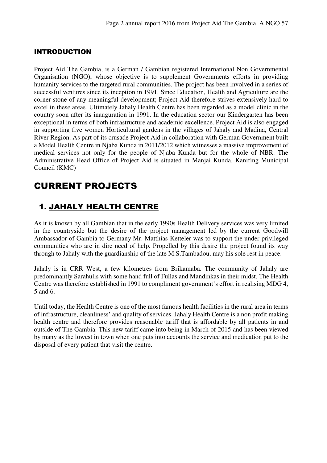#### INTRODUCTION

Project Aid The Gambia, is a German / Gambian registered International Non Governmental Organisation (NGO), whose objective is to supplement Governments efforts in providing humanity services to the targeted rural communities. The project has been involved in a series of successful ventures since its inception in 1991. Since Education, Health and Agriculture are the corner stone of any meaningful development; Project Aid therefore strives extensively hard to excel in these areas. Ultimately Jahaly Health Centre has been regarded as a model clinic in the country soon after its inauguration in 1991. In the education sector our Kindergarten has been exceptional in terms of both infrastructure and academic excellence. Project Aid is also engaged in supporting five women Horticultural gardens in the villages of Jahaly and Madina, Central River Region. As part of its crusade Project Aid in collaboration with German Government built a Model Health Centre in Njaba Kunda in 2011/2012 which witnesses a massive improvement of medical services not only for the people of Njaba Kunda but for the whole of NBR. The Administrative Head Office of Project Aid is situated in Manjai Kunda, Kanifing Municipal Council (KMC)

## CURRENT PROJECTS

## 1. JAHALY HEALTH CENTRE

As it is known by all Gambian that in the early 1990s Health Delivery services was very limited in the countryside but the desire of the project management led by the current Goodwill Ambassador of Gambia to Germany Mr. Matthias Ketteler was to support the under privileged communities who are in dire need of help. Propelled by this desire the project found its way through to Jahaly with the guardianship of the late M.S.Tambadou, may his sole rest in peace.

Jahaly is in CRR West, a few kilometres from Brikamaba. The community of Jahaly are predominantly Sarahulis with some hand full of Fullas and Mandinkas in their midst. The Health Centre was therefore established in 1991 to compliment government's effort in realising MDG 4, 5 and 6.

Until today, the Health Centre is one of the most famous health facilities in the rural area in terms of infrastructure, cleanliness' and quality of services. Jahaly Health Centre is a non profit making health centre and therefore provides reasonable tariff that is affordable by all patients in and outside of The Gambia. This new tariff came into being in March of 2015 and has been viewed by many as the lowest in town when one puts into accounts the service and medication put to the disposal of every patient that visit the centre.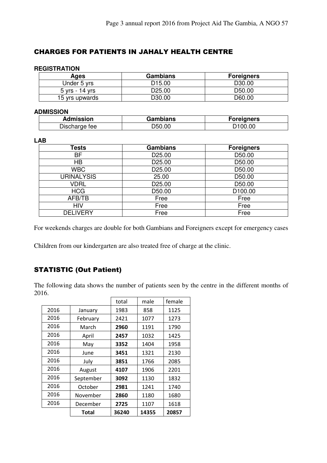#### CHARGES FOR PATIENTS IN JAHALY HEALTH CENTRE

#### **REGISTRATION**

| Ages           | Gambians           | <b>Foreigners</b>  |
|----------------|--------------------|--------------------|
| Under 5 yrs    | D <sub>15.00</sub> | D30.00             |
| 5 yrs - 14 yrs | D <sub>25.00</sub> | D <sub>50.00</sub> |
| 15 yrs upwards | D30.00             | D60.00             |

#### **ADMISSION**

| Admission     | Gambians | Foreigners |
|---------------|----------|------------|
| Discharge fee | D50.00   | 0.0C<br>nn |

#### **LAB**

| <b>Tests</b>      | <b>Gambians</b> | <b>Foreigners</b> |
|-------------------|-----------------|-------------------|
| BF                | D25.00          | D50.00            |
| <b>HB</b>         | D25.00          | D50.00            |
| <b>WBC</b>        | D25.00          | D50.00            |
| <b>URINALYSIS</b> | 25.00           | D50.00            |
| <b>VDRL</b>       | D25.00          | D50.00            |
| <b>HCG</b>        | D50.00          | D100.00           |
| AFB/TB            | Free            | Free              |
| <b>HIV</b>        | Free            | Free              |
| <b>DELIVERY</b>   | Free            | Free              |

For weekends charges are double for both Gambians and Foreigners except for emergency cases

Children from our kindergarten are also treated free of charge at the clinic.

#### STATISTIC (Out Patient)

The following data shows the number of patients seen by the centre in the different months of 2016.

|      |           | total | male  | female |
|------|-----------|-------|-------|--------|
| 2016 | January   | 1983  | 858   | 1125   |
| 2016 | February  | 2421  | 1077  | 1273   |
| 2016 | March     | 2960  | 1191  | 1790   |
| 2016 | April     | 2457  | 1032  | 1425   |
| 2016 | May       | 3352  | 1404  | 1958   |
| 2016 | June      | 3451  | 1321  | 2130   |
| 2016 | July      | 3851  | 1766  | 2085   |
| 2016 | August    | 4107  | 1906  | 2201   |
| 2016 | September | 3092  | 1130  | 1832   |
| 2016 | October   | 2981  | 1241  | 1740   |
| 2016 | November  | 2860  | 1180  | 1680   |
| 2016 | December  | 2725  | 1107  | 1618   |
|      | Total     | 36240 | 14355 | 20857  |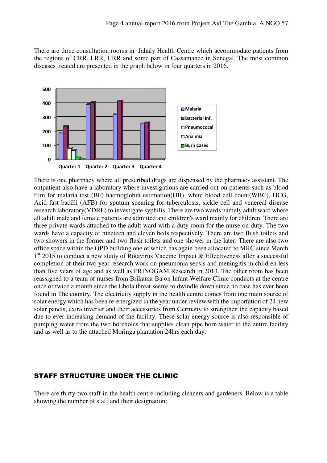There are three consultation rooms in Jahaly Health Centre which accommodate patients from the regions of CRR, LRR, URR and some part of Cassamance in Senegal. The most common diseases treated are presented in the graph below in four quarters in 2016.



There is one pharmacy where all prescribed drugs are dispensed by the pharmacy assistant. The outpatient also have a laboratory where investigations are carried out on patients such as blood film for malaria test (BF) haemoglobin estimation(HB), white blood cell count(WBC), HCG, Acid fast bacilli (AFB) for sputum spearing for tuberculosis, sickle cell and venereal disease research laboratory(VDRL) to investigate syphilis. There are two wards namely adult ward where all adult male and female patients are admitted and children's ward mainly for children. There are three private wards attached to the adult ward with a duty room for the nurse on duty. The two wards have a capacity of nineteen and eleven beds respectively. There are two flush toilets and two showers in the former and two flush toilets and one shower in the later. There are also two office space within the OPD building one of which has again been allocated to MRC since March 1<sup>st</sup> 2015 to conduct a new study of Rotavirus Vaccine Impact & Effectiveness after a successful completion of their two year research work on pneumonia sepsis and meningitis in children less than five years of age and as well as PRINOGAM Research in 2013. The other room has been reassigned to a team of nurses from Brikama-Ba on Infant Welfare Clinic conducts at the centre once or twice a month since the Ebola threat seems to dwindle down since no case has ever been found in The country. The electricity supply in the health centre comes from one main source of solar energy which has been re-energized in the year under review with the importation of 24 new solar panels, extra inverter and their accessories from Germany to strengthen the capacity based due to ever increasing demand of the facility. These solar energy source is also responsible of pumping water from the two boreholes that supplies clean pipe born water to the entire facility and as well as to the attached Moringa plantation 24hrs each day.

#### STAFF STRUCTURE UNDER THE CLINIC

There are thirty-two staff in the health centre including cleaners and gardeners. Below is a table showing the number of staff and their designation: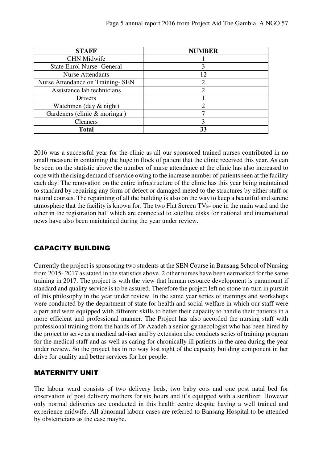| <b>STAFF</b>                       | <b>NUMBER</b>         |
|------------------------------------|-----------------------|
| <b>CHN Midwife</b>                 |                       |
| <b>State Enrol Nurse - General</b> |                       |
| <b>Nurse Attendants</b>            | 12                    |
| Nurse Attendance on Training- SEN  | $\mathcal{D}_{\cdot}$ |
| Assistance lab technicians         | 2                     |
| Drivers                            |                       |
| Watchmen (day $&$ night)           | 2                     |
| Gardeners (clinic & moringa)       |                       |
| <b>Cleaners</b>                    |                       |
| <b>Total</b>                       | 33                    |

2016 was a successful year for the clinic as all our sponsored trained nurses contributed in no small measure in containing the huge in flock of patient that the clinic received this year. As can be seen on the statistic above the number of nurse attendance at the clinic has also increased to cope with the rising demand of service owing to the increase number of patients seen at the facility each day. The renovation on the entire infrastructure of the clinic has this year being maintained to standard by repairing any form of defect or damaged meted to the structures by either staff or natural courses. The repainting of all the building is also on the way to keep a beautiful and serene atmosphere that the facility is known for. The two Flat Screen TVs- one in the main ward and the other in the registration hall which are connected to satellite disks for national and international news have also been maintained during the year under review.

#### CAPACITY BUILDING

Currently the project is sponsoring two students at the SEN Course in Bansang School of Nursing from 2015- 2017 as stated in the statistics above. 2 other nurses have been earmarked for the same training in 2017. The project is with the view that human resource development is paramount if standard and quality service is to be assured. Therefore the project left no stone un-turn in pursuit of this philosophy in the year under review. In the same year series of trainings and workshops were conducted by the department of state for health and social welfare in which our staff were a part and were equipped with different skills to better their capacity to handle their patients in a more efficient and professional manner. The Project has also accorded the nursing staff with professional training from the hands of Dr Azadeh a senior gynaecologist who has been hired by the project to serve as a medical adviser and by extension also conducts series of training program for the medical staff and as well as caring for chronically ill patients in the area during the year under review. So the project has in no way lost sight of the capacity building component in her drive for quality and better services for her people.

#### MATERNITY UNIT

The labour ward consists of two delivery beds, two baby cots and one post natal bed for observation of post delivery mothers for six hours and it's equipped with a sterilizer. However only normal deliveries are conducted in this health centre despite having a well trained and experience midwife. All abnormal labour cases are referred to Bansang Hospital to be attended by obstetricians as the case maybe.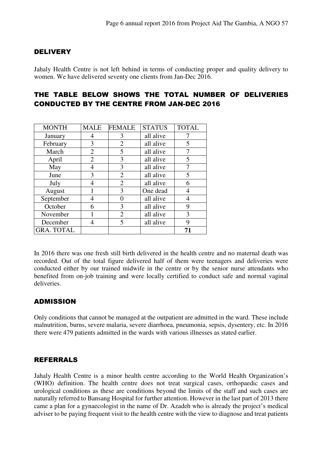#### **DELIVERY**

Jahaly Health Centre is not left behind in terms of conducting proper and quality delivery to women. We have delivered seventy one clients from Jan-Dec 2016.

#### THE TABLE BELOW SHOWS THE TOTAL NUMBER OF DELIVERIES CONDUCTED BY THE CENTRE FROM JAN-DEC 2016

| <b>MONTH</b>      | <b>MALE</b>    | <b>FEMALE</b>  | <b>STATUS</b> | <b>TOTAL</b> |
|-------------------|----------------|----------------|---------------|--------------|
| January           | 4              | 3              | all alive     |              |
| February          | 3              | $\overline{2}$ | all alive     | 5            |
| March             | $\overline{2}$ | 5              | all alive     |              |
| April             | 2              | 3              | all alive     | 5            |
| May               |                | 3              | all alive     |              |
| June              | 3              | $\overline{2}$ | all alive     | 5            |
| July              | 4              | $\overline{2}$ | all alive     | 6            |
| August            |                | 3              | One dead      |              |
| September         | 4              | 0              | all alive     | 4            |
| October           | 6              | 3              | all alive     | 9            |
| November          |                | $\overline{2}$ | all alive     | 3            |
| December          | 4              | 5              | all alive     | 9            |
| <b>GRA. TOTAL</b> |                |                |               | 71           |

In 2016 there was one fresh still birth delivered in the health centre and no maternal death was recorded. Out of the total figure delivered half of them were teenagers and deliveries were conducted either by our trained midwife in the centre or by the senior nurse attendants who benefited from on-job training and were locally certified to conduct safe and normal vaginal deliveries.

#### ADMISSION

Only conditions that cannot be managed at the outpatient are admitted in the ward. These include malnutrition, burns, severe malaria, severe diarrhoea, pneumonia, sepsis, dysentery, etc. In 2016 there were 479 patients admitted in the wards with various illnesses as stated earlier.

#### REFERRALS

Jahaly Health Centre is a minor health centre according to the World Health Organization's (WHO) definition. The health centre does not treat surgical cases, orthopaedic cases and urological conditions as these are conditions beyond the limits of the staff and such cases are naturally referred to Bansang Hospital for further attention. However in the last part of 2013 there came a plan for a gynaecologist in the name of Dr. Azadeh who is already the project's medical adviser to be paying frequent visit to the health centre with the view to diagnose and treat patients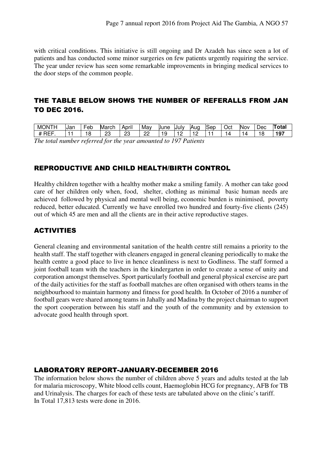with critical conditions. This initiative is still ongoing and Dr Azadeh has since seen a lot of patients and has conducted some minor surgeries on few patients urgently requiring the service. The year under review has seen some remarkable improvements in bringing medical services to the door steps of the common people.

#### THE TABLE BELOW SHOWS THE NUMBER OF REFERALLS FROM JAN TO DEC 2016.

| ' ONTh<br>MC      | IJar | $\overline{\phantom{0}}$<br>Feb | March   | <br>April | Mav     | June | iJulv  | lAuc<br>. . | ١c<br>ISer | $\overline{\phantom{0}}$<br>JCI. | Nov | Dec | Total |
|-------------------|------|---------------------------------|---------|-----------|---------|------|--------|-------------|------------|----------------------------------|-----|-----|-------|
| $- - -$<br><br>-- |      | O                               | nr<br>້ | nr<br>∼   | nn<br>ے | 9    | -<br>╭ |             |            | 14                               |     | ε   | 197   |

*The total number referred for the year amounted to 197 Patients* 

#### REPRODUCTIVE AND CHILD HEALTH/BIRTH CONTROL

Healthy children together with a healthy mother make a smiling family. A mother can take good care of her children only when, food, shelter, clothing as minimal basic human needs are achieved followed by physical and mental well being, economic burden is minimised, poverty reduced, better educated. Currently we have enrolled two hundred and fourty-five clients (245) out of which 45 are men and all the clients are in their active reproductive stages.

#### ACTIVITIES

General cleaning and environmental sanitation of the health centre still remains a priority to the health staff. The staff together with cleaners engaged in general cleaning periodically to make the health centre a good place to live in hence cleanliness is next to Godliness. The staff formed a joint football team with the teachers in the kindergarten in order to create a sense of unity and corporation amongst themselves. Sport particularly football and general physical exercise are part of the daily activities for the staff as football matches are often organised with others teams in the neighbourhood to maintain harmony and fitness for good health. In October of 2016 a number of football gears were shared among teams in Jahally and Madina by the project chairman to support the sport cooperation between his staff and the youth of the community and by extension to advocate good health through sport.

#### LABORATORY REPORT-JANUARY-DECEMBER 2016

The information below shows the number of children above 5 years and adults tested at the lab for malaria microscopy, White blood cells count, Haemoglobin HCG for pregnancy, AFB for TB and Urinalysis. The charges for each of these tests are tabulated above on the clinic's tariff. In Total 17,813 tests were done in 2016.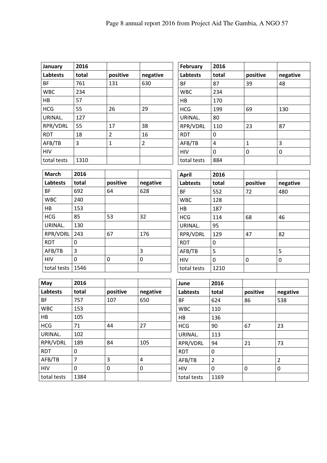| January         | 2016  |          |          |
|-----------------|-------|----------|----------|
| <b>Labtests</b> | total | positive | negative |
| <b>BF</b>       | 761   | 131      | 630      |
| <b>WBC</b>      | 234   |          |          |
| HB              | 57    |          |          |
| <b>HCG</b>      | 55    | 26       | 29       |
| URINAL.         | 127   |          |          |
| RPR/VDRL        | 55    | 17       | 38       |
| <b>RDT</b>      | 18    | 2        | 16       |
| AFB/TB          | 3     | 1        | 2        |
| <b>HIV</b>      |       |          |          |
| total tests     | 1310  |          |          |

| February        | 2016  |          |          |
|-----------------|-------|----------|----------|
| <b>Labtests</b> | total | positive | negative |
| <b>BF</b>       | 87    | 39       | 48       |
| <b>WBC</b>      | 234   |          |          |
| HB              | 170   |          |          |
| <b>HCG</b>      | 199   | 69       | 130      |
| URINAL.         | 80    |          |          |
| RPR/VDRL        | 110   | 23       | 87       |
| <b>RDT</b>      | 0     |          |          |
| AFB/TB          | 4     | 1        | 3        |
| <b>HIV</b>      | 0     | 0        | 0        |
| total tests     | 884   |          |          |

| <b>March</b>    | 2016  |          |          |
|-----------------|-------|----------|----------|
| <b>Labtests</b> | total | positive | negative |
| ВF              | 692   | 64       | 628      |
| <b>WBC</b>      | 240   |          |          |
| HB              | 153   |          |          |
| <b>HCG</b>      | 85    | 53       | 32       |
| URINAL.         | 130   |          |          |
| RPR/VDRL        | 243   | 67       | 176      |
| <b>RDT</b>      | 0     |          |          |
| AFB/TB          | 3     |          | 3        |
| <b>HIV</b>      | 0     | 0        | 0        |
| total tests     | 1546  |          |          |

| <b>April</b> | 2016  |          |          |
|--------------|-------|----------|----------|
| Labtests     | total | positive | negative |
| <b>BF</b>    | 552   | 72       | 480      |
| <b>WBC</b>   | 128   |          |          |
| HB           | 187   |          |          |
| <b>HCG</b>   | 114   | 68       | 46       |
| URINAL.      | 95    |          |          |
| RPR/VDRL     | 129   | 47       | 82       |
| <b>RDT</b>   | 0     |          |          |
| AFB/TB       | 5     |          | 5        |
| <b>HIV</b>   | 0     | 0        | 0        |
| total tests  | 1210  |          |          |

| May             | 2016  |          |          |
|-----------------|-------|----------|----------|
| <b>Labtests</b> | total | positive | negative |
| <b>BF</b>       | 757   | 107      | 650      |
| <b>WBC</b>      | 153   |          |          |
| HB              | 105   |          |          |
| <b>HCG</b>      | 71    | 44       | 27       |
| URINAL.         | 102   |          |          |
| RPR/VDRL        | 189   | 84       | 105      |
| <b>RDT</b>      | 0     |          |          |
| AFB/TB          | 7     | 3        | 4        |
| <b>HIV</b>      | 0     | 0        | 0        |
| total tests     | 1384  |          |          |

| June            | 2016  |          |               |  |
|-----------------|-------|----------|---------------|--|
| <b>Labtests</b> | total | positive | negative      |  |
| <b>BF</b>       | 624   | 86       | 538           |  |
| <b>WBC</b>      | 110   |          |               |  |
| HB              | 136   |          |               |  |
| <b>HCG</b>      | 90    | 67       | 23            |  |
| URINAL.         | 113   |          |               |  |
| RPR/VDRL        | 94    | 21       | 73            |  |
| <b>RDT</b>      | 0     |          |               |  |
| AFB/TB          | 2     |          | $\mathcal{P}$ |  |
| <b>HIV</b>      | 0     | 0        | 0             |  |
| total tests     | 1169  |          |               |  |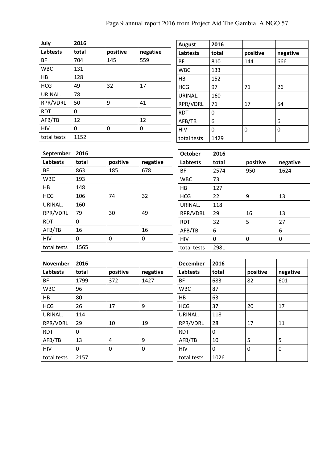| July        | 2016  |          |          |
|-------------|-------|----------|----------|
| Labtests    | total | positive | negative |
| <b>BF</b>   | 704   | 145      | 559      |
| <b>WBC</b>  | 131   |          |          |
| HB          | 128   |          |          |
| <b>HCG</b>  | 49    | 32       | 17       |
| URINAL.     | 78    |          |          |
| RPR/VDRL    | 50    | 9        | 41       |
| <b>RDT</b>  | 0     |          |          |
| AFB/TB      | 12    |          | 12       |
| <b>HIV</b>  | 0     | 0        | 0        |
| total tests | 1152  |          |          |

| <b>August</b>   | 2016  |          |          |  |
|-----------------|-------|----------|----------|--|
| <b>Labtests</b> | total | positive | negative |  |
| <b>BF</b>       | 810   | 144      | 666      |  |
| <b>WBC</b>      | 133   |          |          |  |
| НB              | 152   |          |          |  |
| <b>HCG</b>      | 97    | 71       | 26       |  |
| URINAL.         | 160   |          |          |  |
| RPR/VDRL        | 71    | 17       | 54       |  |
| <b>RDT</b>      | 0     |          |          |  |
| AFB/TB          | 6     |          | 6        |  |
| <b>HIV</b>      | 0     | 0        | 0        |  |
| total tests     | 1429  |          |          |  |

| September       | 2016                          |          |       | <b>October</b> | 2016        |             |          |
|-----------------|-------------------------------|----------|-------|----------------|-------------|-------------|----------|
| <b>Labtests</b> | positive<br>total<br>negative | Labtests | total | positive       | negative    |             |          |
| BF              | 863                           | 185      | 678   | BF             | 2574        | 950         | 1624     |
| <b>WBC</b>      | 193                           |          |       | <b>WBC</b>     | 73          |             |          |
| HB              | 148                           |          |       | HB             | 127         |             |          |
| <b>HCG</b>      | 106                           | 74       | 32    | <b>HCG</b>     | 22          | 9           | 13       |
| URINAL.         | 160                           |          |       | URINAL.        | 118         |             |          |
| RPR/VDRL        | 79                            | 30       | 49    | RPR/VDRL       | 29          | 16          | 13       |
| <b>RDT</b>      | $\Omega$                      |          |       | <b>RDT</b>     | 32          | 5           | 27       |
| AFB/TB          | 16                            |          | 16    | AFB/TB         | 6           |             | 6        |
| <b>HIV</b>      | $\Omega$                      | 0        | 0     | <b>HIV</b>     | $\mathbf 0$ | $\mathbf 0$ | $\Omega$ |
| total tests     | 1565                          |          |       | total tests    | 2981        |             |          |

| <b>November</b> | 2016  |                |          | <b>December</b> | 2016  |          |          |
|-----------------|-------|----------------|----------|-----------------|-------|----------|----------|
| Labtests        | total | positive       | negative | Labtests        | total | positive | negative |
| <b>BF</b>       | 1799  | 372            | 1427     | <b>BF</b>       | 683   | 82       | 601      |
| <b>WBC</b>      | 96    |                |          | <b>WBC</b>      | 87    |          |          |
| HB              | 80    |                |          | HB              | 63    |          |          |
| <b>HCG</b>      | 26    | 17             | 9        | <b>HCG</b>      | 37    | 20       | 17       |
| URINAL.         | 114   |                |          | URINAL.         | 118   |          |          |
| RPR/VDRL        | 29    | 10             | 19       | RPR/VDRL        | 28    | 17       | 11       |
| <b>RDT</b>      | 0     |                |          | <b>RDT</b>      | 0     |          |          |
| AFB/TB          | 13    | $\overline{4}$ | 9        | AFB/TB          | 10    | 5        | 5        |
| <b>HIV</b>      | 0     | 0              | 0        | <b>HIV</b>      | 0     | 0        | 0        |
| total tests     | 2157  |                |          | total tests     | 1026  |          |          |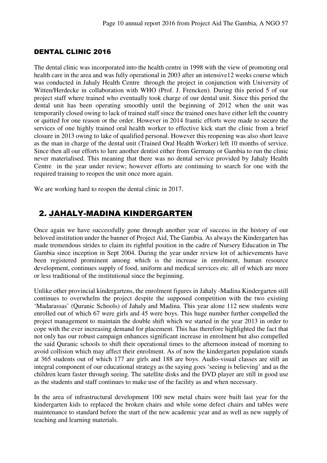#### DENTAL CLINIC 2016

The dental clinic was incorporated into the health centre in 1998 with the view of promoting oral health care in the area and was fully operational in 2003 after an intensive12 weeks course which was conducted in Jahaly Health Centre through the project in conjunction with University of Witten/Herdecke in collaboration with WHO (Prof. J. Frencken). During this period 5 of our project staff where trained who eventually took charge of our dental unit. Since this period the dental unit has been operating smoothly until the beginning of 2012 when the unit was temporarily closed owing to lack of trained staff since the trained ones have either left the country or quitted for one reason or the order. However in 2014 frantic efforts were made to secure the services of one highly trained oral health worker to effective kick start the clinic from a brief closure in 2013 owing to lake of qualified personal. However this reopening was also short leave as the man in charge of the dental unit (Trained Oral Health Worker) left 10 months of service. Since then all our efforts to lure another dentist either from Germany or Gambia to run the clinic never materialised. This meaning that there was no dental service provided by Jahaly Health Centre in the year under review; however efforts are continuing to search for one with the required training to reopen the unit once more again.

We are working hard to reopen the dental clinic in 2017.

### 2. JAHALY-MADINA KINDERGARTEN

Once again we have successfully gone through another year of success in the history of our beloved institution under the banner of Project Aid, The Gambia. As always the Kindergarten has made tremendous strides to claim its rightful position in the cadre of Nursery Education in The Gambia since inception in Sept 2004. During the year under review lot of achievements have been registered prominent among which is the increase in enrolment, human resource development, continues supply of food, uniform and medical services etc. all of which are more or less traditional of the institutional since the beginning.

Unlike other provincial kindergartens, the enrolment figures in Jahaly -Madina Kindergarten still continues to overwhelm the project despite the supposed competition with the two existing 'Madarassas' (Quranic Schools) of Jahaly and Madina. This year alone 112 new students were enrolled out of which 67 were girls and 45 were boys. This huge number further compelled the project management to maintain the double shift which we started in the year 2013 in order to cope with the ever increasing demand for placement. This has therefore highlighted the fact that not only has our robust campaign enhances significant increase in enrolment but also compelled the said Quranic schools to shift their operational times to the afternoon instead of morning to avoid collision which may affect their enrolment. As of now the kindergarten population stands at 365 students out of which 177 are girls and 188 are boys. Audio-visual classes are still an integral component of our educational strategy as the saying goes 'seeing is believing' and as the children learn faster through seeing. The satellite disks and the DVD player are still in good use as the students and staff continues to make use of the facility as and when necessary.

In the area of infrastructural development 100 new metal chairs were built last year for the kindergarten kids to replaced the broken chairs and while some defect chairs and tables were maintenance to standard before the start of the new academic year and as well as new supply of teaching and learning materials.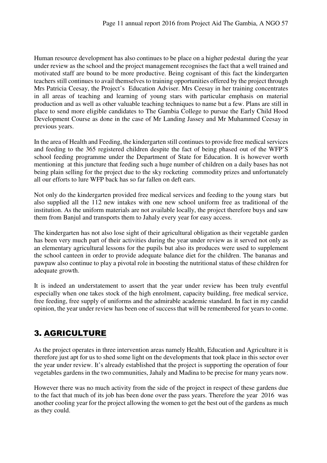Human resource development has also continues to be place on a higher pedestal during the year under review as the school and the project management recognises the fact that a well trained and motivated staff are bound to be more productive. Being cognisant of this fact the kindergarten teachers still continues to avail themselves to training opportunities offered by the project through Mrs Patricia Ceesay, the Project's Education Adviser. Mrs Ceesay in her training concentrates in all areas of teaching and learning of young stars with particular emphasis on material production and as well as other valuable teaching techniques to name but a few. Plans are still in place to send more eligible candidates to The Gambia College to pursue the Early Child Hood Development Course as done in the case of Mr Landing Jassey and Mr Muhammed Ceesay in previous years.

In the area of Health and Feeding, the kindergarten still continues to provide free medical services and feeding to the 365 registered children despite the fact of being phased out of the WFP'S school feeding programme under the Department of State for Education. It is however worth mentioning at this juncture that feeding such a huge number of children on a daily bases has not being plain selling for the project due to the sky rocketing commodity prizes and unfortunately all our efforts to lure WFP back has so far fallen on deft ears.

Not only do the kindergarten provided free medical services and feeding to the young stars but also supplied all the 112 new intakes with one new school uniform free as traditional of the institution. As the uniform materials are not available locally, the project therefore buys and saw them from Banjul and transports them to Jahaly every year for easy access.

The kindergarten has not also lose sight of their agricultural obligation as their vegetable garden has been very much part of their activities during the year under review as it served not only as an elementary agricultural lessons for the pupils but also its produces were used to supplement the school canteen in order to provide adequate balance diet for the children. The bananas and pawpaw also continue to play a pivotal role in boosting the nutritional status of these children for adequate growth.

It is indeed an understatement to assert that the year under review has been truly eventful especially when one takes stock of the high enrolment, capacity building, free medical service, free feeding, free supply of uniforms and the admirable academic standard. In fact in my candid opinion, the year under review has been one of success that will be remembered for years to come.

## 3. AGRICULTURE

As the project operates in three intervention areas namely Health, Education and Agriculture it is therefore just apt for us to shed some light on the developments that took place in this sector over the year under review. It's already established that the project is supporting the operation of four vegetables gardens in the two communities, Jahaly and Madina to be precise for many years now.

However there was no much activity from the side of the project in respect of these gardens due to the fact that much of its job has been done over the pass years. Therefore the year 2016 was another cooling year for the project allowing the women to get the best out of the gardens as much as they could.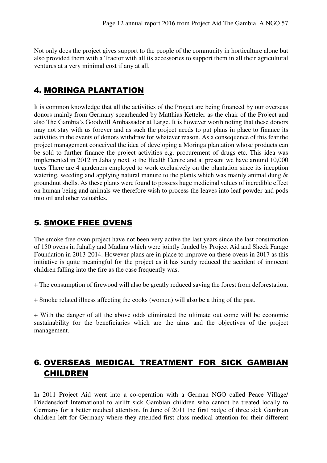Not only does the project gives support to the people of the community in horticulture alone but also provided them with a Tractor with all its accessories to support them in all their agricultural ventures at a very minimal cost if any at all.

## 4. MORINGA PLANTATION

It is common knowledge that all the activities of the Project are being financed by our overseas donors mainly from Germany spearheaded by Matthias Ketteler as the chair of the Project and also The Gambia's Goodwill Ambassador at Large. It is however worth noting that these donors may not stay with us forever and as such the project needs to put plans in place to finance its activities in the events of donors withdraw for whatever reason. As a consequence of this fear the project management conceived the idea of developing a Moringa plantation whose products can be sold to further finance the project activities e.g. procurement of drugs etc. This idea was implemented in 2012 in Jahaly next to the Health Centre and at present we have around 10,000 trees There are 4 gardeners employed to work exclusively on the plantation since its inception watering, weeding and applying natural manure to the plants which was mainly animal dung & groundnut shells. As these plants were found to possess huge medicinal values of incredible effect on human being and animals we therefore wish to process the leaves into leaf powder and pods into oil and other valuables.

## 5. SMOKE FREE OVENS

The smoke free oven project have not been very active the last years since the last construction of 150 ovens in Jahally and Madina which were jointly funded by Project Aid and Sheck Farage Foundation in 2013-2014. However plans are in place to improve on these ovens in 2017 as this initiative is quite meaningful for the project as it has surely reduced the accident of innocent children falling into the fire as the case frequently was.

+ The consumption of firewood will also be greatly reduced saving the forest from deforestation.

+ Smoke related illness affecting the cooks (women) will also be a thing of the past.

+ With the danger of all the above odds eliminated the ultimate out come will be economic sustainability for the beneficiaries which are the aims and the objectives of the project management.

## 6. OVERSEAS MEDICAL TREATMENT FOR SICK GAMBIAN CHILDREN

In 2011 Project Aid went into a co-operation with a German NGO called Peace Village/ Friedensdorf International to airlift sick Gambian children who cannot be treated locally to Germany for a better medical attention. In June of 2011 the first badge of three sick Gambian children left for Germany where they attended first class medical attention for their different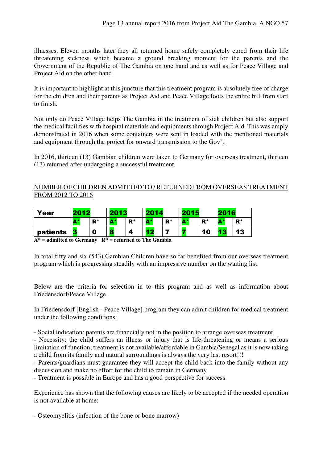illnesses. Eleven months later they all returned home safely completely cured from their life threatening sickness which became a ground breaking moment for the parents and the Government of the Republic of The Gambia on one hand and as well as for Peace Village and Project Aid on the other hand.

It is important to highlight at this juncture that this treatment program is absolutely free of charge for the children and their parents as Project Aid and Peace Village foots the entire bill from start to finish.

Not only do Peace Village helps The Gambia in the treatment of sick children but also support the medical facilities with hospital materials and equipments through Project Aid. This was amply demonstrated in 2016 when some containers were sent in loaded with the mentioned materials and equipment through the project for onward transmission to the Gov't.

In 2016, thirteen (13) Gambian children were taken to Germany for overseas treatment, thirteen (13) returned after undergoing a successful treatment.

#### NUMBER OF CHILDREN ADMITTED TO / RETURNED FROM OVERSEAS TREATMENT FROM 2012 TO 2016

| Year     | 2012 |             |                       | $\overline{42}$ |           | 2014  |                                | 2015  |                       | 2016  |  |
|----------|------|-------------|-----------------------|-----------------|-----------|-------|--------------------------------|-------|-----------------------|-------|--|
|          | A*   | ${\bf R}^*$ | $\mathbf{A}^*$<br>. . | ${\bf R}^*$     | А*        | $R^*$ | А*<br>$\overline{\phantom{a}}$ | $R^*$ | $\mathbf{A}$ *<br>. . | $R^*$ |  |
| patients | 3    | 0           |                       |                 | <b>TO</b> |       |                                | 10    | æ                     | 13    |  |

**A\* = admitted to Germany R\* = returned to The Gambia** 

In total fifty and six (543) Gambian Children have so far benefited from our overseas treatment program which is progressing steadily with an impressive number on the waiting list.

Below are the criteria for selection in to this program and as well as information about Friedensdorf/Peace Village.

In Friedensdorf [English - Peace Village] program they can admit children for medical treatment under the following conditions:

- Social indication: parents are financially not in the position to arrange overseas treatment

- Necessity: the child suffers an illness or injury that is life-threatening or means a serious limitation of function; treatment is not available/affordable in Gambia/Senegal as it is now taking a child from its family and natural surroundings is always the very last resort!!!

- Parents/guardians must guarantee they will accept the child back into the family without any discussion and make no effort for the child to remain in Germany

- Treatment is possible in Europe and has a good perspective for success

Experience has shown that the following causes are likely to be accepted if the needed operation is not available at home:

- Osteomyelitis (infection of the bone or bone marrow)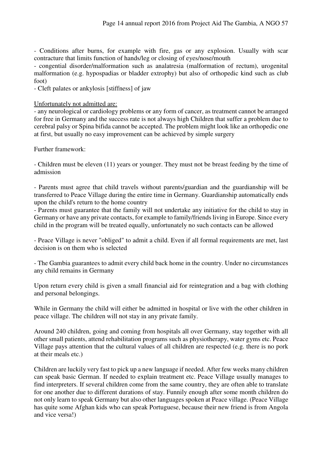- Conditions after burns, for example with fire, gas or any explosion. Usually with scar contracture that limits function of hands/leg or closing of eyes/nose/mouth

- congential disorder/malformation such as analatresia (malformation of rectum), urogenital malformation (e.g. hypospadias or bladder extrophy) but also of orthopedic kind such as club foot)

- Cleft palates or ankylosis [stiffness] of jaw

#### Unfortunately not admitted are:

- any neurological or cardiology problems or any form of cancer, as treatment cannot be arranged for free in Germany and the success rate is not always high Children that suffer a problem due to cerebral palsy or Spina bifida cannot be accepted. The problem might look like an orthopedic one at first, but usually no easy improvement can be achieved by simple surgery

Further framework:

- Children must be eleven (11) years or younger. They must not be breast feeding by the time of admission

- Parents must agree that child travels without parents/guardian and the guardianship will be transferred to Peace Village during the entire time in Germany. Guardianship automatically ends upon the child's return to the home country

- Parents must guarantee that the family will not undertake any initiative for the child to stay in Germany or have any private contacts, for example to family/friends living in Europe. Since every child in the program will be treated equally, unfortunately no such contacts can be allowed

- Peace Village is never "obliged" to admit a child. Even if all formal requirements are met, last decision is on them who is selected

- The Gambia guarantees to admit every child back home in the country. Under no circumstances any child remains in Germany

Upon return every child is given a small financial aid for reintegration and a bag with clothing and personal belongings.

While in Germany the child will either be admitted in hospital or live with the other children in peace village. The children will not stay in any private family.

Around 240 children, going and coming from hospitals all over Germany, stay together with all other small patients, attend rehabilitation programs such as physiotherapy, water gyms etc. Peace Village pays attention that the cultural values of all children are respected (e.g. there is no pork at their meals etc.)

Children are luckily very fast to pick up a new language if needed. After few weeks many children can speak basic German. If needed to explain treatment etc. Peace Village usually manages to find interpreters. If several children come from the same country, they are often able to translate for one another due to different durations of stay. Funnily enough after some month children do not only learn to speak Germany but also other languages spoken at Peace village. (Peace Village has quite some Afghan kids who can speak Portuguese, because their new friend is from Angola and vice versa!)